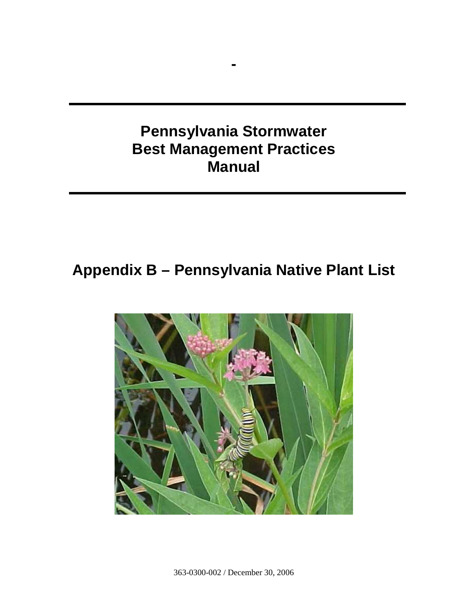# **Pennsylvania Stormwater Best Management Practices Manual**

**-** 

# **Appendix B – Pennsylvania Native Plant List**

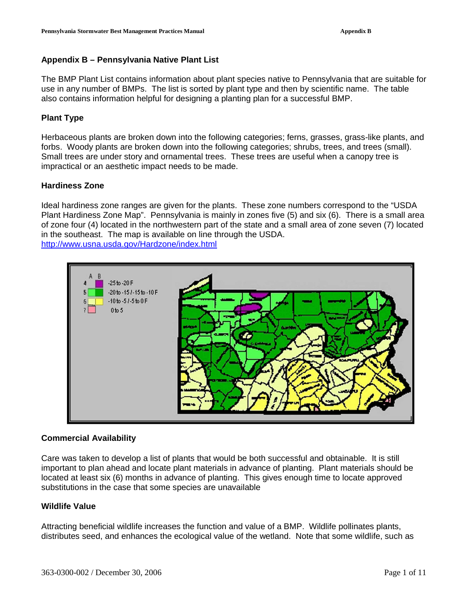# **Appendix B – Pennsylvania Native Plant List**

The BMP Plant List contains information about plant species native to Pennsylvania that are suitable for use in any number of BMPs. The list is sorted by plant type and then by scientific name. The table also contains information helpful for designing a planting plan for a successful BMP.

# **Plant Type**

Herbaceous plants are broken down into the following categories; ferns, grasses, grass-like plants, and forbs. Woody plants are broken down into the following categories; shrubs, trees, and trees (small). Small trees are under story and ornamental trees. These trees are useful when a canopy tree is impractical or an aesthetic impact needs to be made.

# **Hardiness Zone**

Ideal hardiness zone ranges are given for the plants. These zone numbers correspond to the "USDA Plant Hardiness Zone Map". Pennsylvania is mainly in zones five (5) and six (6). There is a small area of zone four (4) located in the northwestern part of the state and a small area of zone seven (7) located in the southeast. The map is available on line through the USDA. http://www.usna.usda.gov/Hardzone/index.html



## **Commercial Availability**

Care was taken to develop a list of plants that would be both successful and obtainable. It is still important to plan ahead and locate plant materials in advance of planting. Plant materials should be located at least six (6) months in advance of planting. This gives enough time to locate approved substitutions in the case that some species are unavailable

## **Wildlife Value**

Attracting beneficial wildlife increases the function and value of a BMP. Wildlife pollinates plants, distributes seed, and enhances the ecological value of the wetland. Note that some wildlife, such as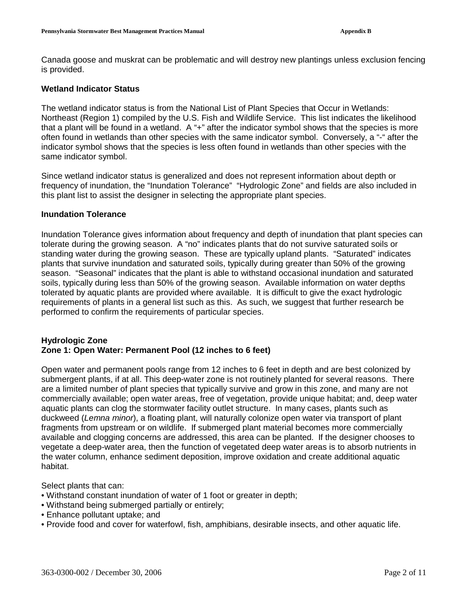Canada goose and muskrat can be problematic and will destroy new plantings unless exclusion fencing is provided.

## **Wetland Indicator Status**

The wetland indicator status is from the National List of Plant Species that Occur in Wetlands: Northeast (Region 1) compiled by the U.S. Fish and Wildlife Service. This list indicates the likelihood that a plant will be found in a wetland. A "+" after the indicator symbol shows that the species is more often found in wetlands than other species with the same indicator symbol. Conversely, a "-" after the indicator symbol shows that the species is less often found in wetlands than other species with the same indicator symbol.

Since wetland indicator status is generalized and does not represent information about depth or frequency of inundation, the "Inundation Tolerance" "Hydrologic Zone" and fields are also included in this plant list to assist the designer in selecting the appropriate plant species.

#### **Inundation Tolerance**

Inundation Tolerance gives information about frequency and depth of inundation that plant species can tolerate during the growing season. A "no" indicates plants that do not survive saturated soils or standing water during the growing season. These are typically upland plants. "Saturated" indicates plants that survive inundation and saturated soils, typically during greater than 50% of the growing season. "Seasonal" indicates that the plant is able to withstand occasional inundation and saturated soils, typically during less than 50% of the growing season. Available information on water depths tolerated by aquatic plants are provided where available. It is difficult to give the exact hydrologic requirements of plants in a general list such as this. As such, we suggest that further research be performed to confirm the requirements of particular species.

## **Hydrologic Zone Zone 1: Open Water: Permanent Pool (12 inches to 6 feet)**

Open water and permanent pools range from 12 inches to 6 feet in depth and are best colonized by submergent plants, if at all. This deep-water zone is not routinely planted for several reasons. There are a limited number of plant species that typically survive and grow in this zone, and many are not commercially available; open water areas, free of vegetation, provide unique habitat; and, deep water aquatic plants can clog the stormwater facility outlet structure. In many cases, plants such as duckweed (Lemna minor), a floating plant, will naturally colonize open water via transport of plant fragments from upstream or on wildlife. If submerged plant material becomes more commercially available and clogging concerns are addressed, this area can be planted. If the designer chooses to vegetate a deep-water area, then the function of vegetated deep water areas is to absorb nutrients in the water column, enhance sediment deposition, improve oxidation and create additional aquatic habitat.

Select plants that can:

- Withstand constant inundation of water of 1 foot or greater in depth;
- Withstand being submerged partially or entirely;
- Enhance pollutant uptake; and
- Provide food and cover for waterfowl, fish, amphibians, desirable insects, and other aquatic life.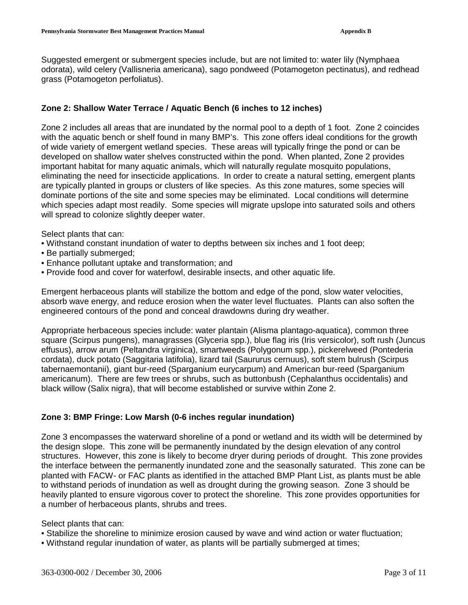Suggested emergent or submergent species include, but are not limited to: water lily (Nymphaea odorata), wild celery (Vallisneria americana), sago pondweed (Potamogeton pectinatus), and redhead grass (Potamogeton perfoliatus).

# **Zone 2: Shallow Water Terrace / Aquatic Bench (6 inches to 12 inches)**

Zone 2 includes all areas that are inundated by the normal pool to a depth of 1 foot. Zone 2 coincides with the aquatic bench or shelf found in many BMP's. This zone offers ideal conditions for the growth of wide variety of emergent wetland species. These areas will typically fringe the pond or can be developed on shallow water shelves constructed within the pond. When planted, Zone 2 provides important habitat for many aquatic animals, which will naturally regulate mosquito populations, eliminating the need for insecticide applications. In order to create a natural setting, emergent plants are typically planted in groups or clusters of like species. As this zone matures, some species will dominate portions of the site and some species may be eliminated. Local conditions will determine which species adapt most readily. Some species will migrate upslope into saturated soils and others will spread to colonize slightly deeper water.

Select plants that can:

- Withstand constant inundation of water to depths between six inches and 1 foot deep;
- Be partially submerged;
- Enhance pollutant uptake and transformation; and
- Provide food and cover for waterfowl, desirable insects, and other aquatic life.

Emergent herbaceous plants will stabilize the bottom and edge of the pond, slow water velocities, absorb wave energy, and reduce erosion when the water level fluctuates. Plants can also soften the engineered contours of the pond and conceal drawdowns during dry weather.

Appropriate herbaceous species include: water plantain (Alisma plantago-aquatica), common three square (Scirpus pungens), managrasses (Glyceria spp.), blue flag iris (Iris versicolor), soft rush (Juncus effusus), arrow arum (Peltandra virginica), smartweeds (Polygonum spp.), pickerelweed (Pontederia cordata), duck potato (Saggitaria latifolia), lizard tail (Saururus cernuus), soft stem bulrush (Scirpus tabernaemontanii), giant bur-reed (Sparganium eurycarpum) and American bur-reed (Sparganium americanum). There are few trees or shrubs, such as buttonbush (Cephalanthus occidentalis) and black willow (Salix nigra), that will become established or survive within Zone 2.

# **Zone 3: BMP Fringe: Low Marsh (0-6 inches regular inundation)**

Zone 3 encompasses the waterward shoreline of a pond or wetland and its width will be determined by the design slope. This zone will be permanently inundated by the design elevation of any control structures. However, this zone is likely to become dryer during periods of drought. This zone provides the interface between the permanently inundated zone and the seasonally saturated. This zone can be planted with FACW- or FAC plants as identified in the attached BMP Plant List, as plants must be able to withstand periods of inundation as well as drought during the growing season. Zone 3 should be heavily planted to ensure vigorous cover to protect the shoreline. This zone provides opportunities for a number of herbaceous plants, shrubs and trees.

Select plants that can:

- Stabilize the shoreline to minimize erosion caused by wave and wind action or water fluctuation;
- Withstand regular inundation of water, as plants will be partially submerged at times;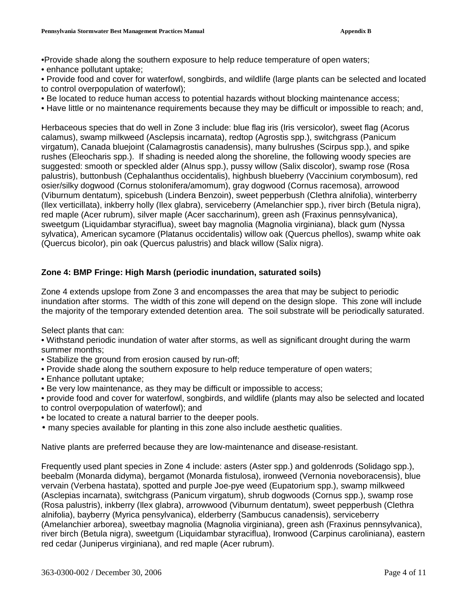•Provide shade along the southern exposure to help reduce temperature of open waters;

• enhance pollutant uptake;

• Provide food and cover for waterfowl, songbirds, and wildlife (large plants can be selected and located to control overpopulation of waterfowl);

- Be located to reduce human access to potential hazards without blocking maintenance access;
- Have little or no maintenance requirements because they may be difficult or impossible to reach; and,

Herbaceous species that do well in Zone 3 include: blue flag iris (Iris versicolor), sweet flag (Acorus calamus), swamp milkweed (Asclepsis incarnata), redtop (Agrostis spp.), switchgrass (Panicum virgatum), Canada bluejoint (Calamagrostis canadensis), many bulrushes (Scirpus spp.), and spike rushes (Eleocharis spp.). If shading is needed along the shoreline, the following woody species are suggested: smooth or speckled alder (Alnus spp.), pussy willow (Salix discolor), swamp rose (Rosa palustris), buttonbush (Cephalanthus occidentalis), highbush blueberry (Vaccinium corymbosum), red osier/silky dogwood (Cornus stolonifera/amomum), gray dogwood (Cornus racemosa), arrowood (Viburnum dentatum), spicebush (Lindera Benzoin), sweet pepperbush (Clethra alnifolia), winterberry (Ilex verticillata), inkberry holly (Ilex glabra), serviceberry (Amelanchier spp.), river birch (Betula nigra), red maple (Acer rubrum), silver maple (Acer saccharinum), green ash (Fraxinus pennsylvanica), sweetgum (Liquidambar styraciflua), sweet bay magnolia (Magnolia virginiana), black gum (Nyssa sylvatica), American sycamore (Platanus occidentalis) willow oak (Quercus phellos), swamp white oak (Quercus bicolor), pin oak (Quercus palustris) and black willow (Salix nigra).

# **Zone 4: BMP Fringe: High Marsh (periodic inundation, saturated soils)**

Zone 4 extends upslope from Zone 3 and encompasses the area that may be subject to periodic inundation after storms. The width of this zone will depend on the design slope. This zone will include the majority of the temporary extended detention area. The soil substrate will be periodically saturated.

Select plants that can:

• Withstand periodic inundation of water after storms, as well as significant drought during the warm summer months;

- Stabilize the ground from erosion caused by run-off;
- Provide shade along the southern exposure to help reduce temperature of open waters;
- Enhance pollutant uptake;
- Be very low maintenance, as they may be difficult or impossible to access;

• provide food and cover for waterfowl, songbirds, and wildlife (plants may also be selected and located to control overpopulation of waterfowl); and

- be located to create a natural barrier to the deeper pools.
- many species available for planting in this zone also include aesthetic qualities.

Native plants are preferred because they are low-maintenance and disease-resistant.

Frequently used plant species in Zone 4 include: asters (Aster spp.) and goldenrods (Solidago spp.), beebalm (Monarda didyma), bergamot (Monarda fistulosa), ironweed (Vernonia noveboracensis), blue vervain (Verbena hastata), spotted and purple Joe-pye weed (Eupatorium spp.), swamp milkweed (Asclepias incarnata), switchgrass (Panicum virgatum), shrub dogwoods (Cornus spp.), swamp rose (Rosa palustris), inkberry (Ilex glabra), arrowwood (Viburnum dentatum), sweet pepperbush (Clethra alnifolia), bayberry (Myrica pensylvanica), elderberry (Sambucus canadensis), serviceberry (Amelanchier arborea), sweetbay magnolia (Magnolia virginiana), green ash (Fraxinus pennsylvanica), river birch (Betula nigra), sweetgum (Liquidambar styraciflua), Ironwood (Carpinus caroliniana), eastern red cedar (Juniperus virginiana), and red maple (Acer rubrum).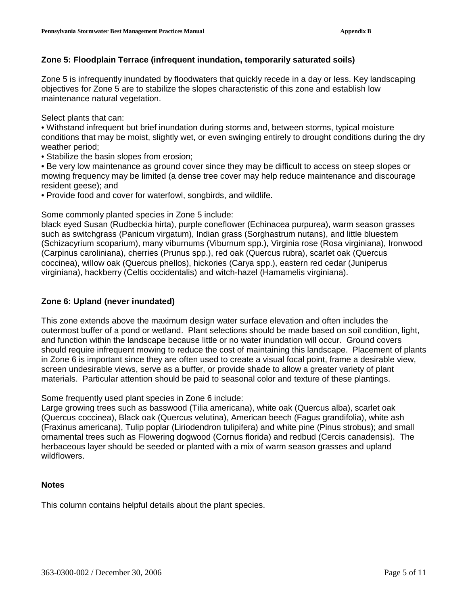# **Zone 5: Floodplain Terrace (infrequent inundation, temporarily saturated soils)**

Zone 5 is infrequently inundated by floodwaters that quickly recede in a day or less. Key landscaping objectives for Zone 5 are to stabilize the slopes characteristic of this zone and establish low maintenance natural vegetation.

Select plants that can:

• Withstand infrequent but brief inundation during storms and, between storms, typical moisture conditions that may be moist, slightly wet, or even swinging entirely to drought conditions during the dry weather period;

• Stabilize the basin slopes from erosion;

• Be very low maintenance as ground cover since they may be difficult to access on steep slopes or mowing frequency may be limited (a dense tree cover may help reduce maintenance and discourage resident geese); and

• Provide food and cover for waterfowl, songbirds, and wildlife.

Some commonly planted species in Zone 5 include:

black eyed Susan (Rudbeckia hirta), purple coneflower (Echinacea purpurea), warm season grasses such as switchgrass (Panicum virgatum), Indian grass (Sorghastrum nutans), and little bluestem (Schizacyrium scoparium), many viburnums (Viburnum spp.), Virginia rose (Rosa virginiana), Ironwood (Carpinus caroliniana), cherries (Prunus spp.), red oak (Quercus rubra), scarlet oak (Quercus coccinea), willow oak (Quercus phellos), hickories (Carya spp.), eastern red cedar (Juniperus virginiana), hackberry (Celtis occidentalis) and witch-hazel (Hamamelis virginiana).

# **Zone 6: Upland (never inundated)**

This zone extends above the maximum design water surface elevation and often includes the outermost buffer of a pond or wetland. Plant selections should be made based on soil condition, light, and function within the landscape because little or no water inundation will occur. Ground covers should require infrequent mowing to reduce the cost of maintaining this landscape. Placement of plants in Zone 6 is important since they are often used to create a visual focal point, frame a desirable view, screen undesirable views, serve as a buffer, or provide shade to allow a greater variety of plant materials. Particular attention should be paid to seasonal color and texture of these plantings.

Some frequently used plant species in Zone 6 include:

Large growing trees such as basswood (Tilia americana), white oak (Quercus alba), scarlet oak (Quercus coccinea), Black oak (Quercus velutina), American beech (Fagus grandifolia), white ash (Fraxinus americana), Tulip poplar (Liriodendron tulipifera) and white pine (Pinus strobus); and small ornamental trees such as Flowering dogwood (Cornus florida) and redbud (Cercis canadensis). The herbaceous layer should be seeded or planted with a mix of warm season grasses and upland wildflowers.

## **Notes**

This column contains helpful details about the plant species.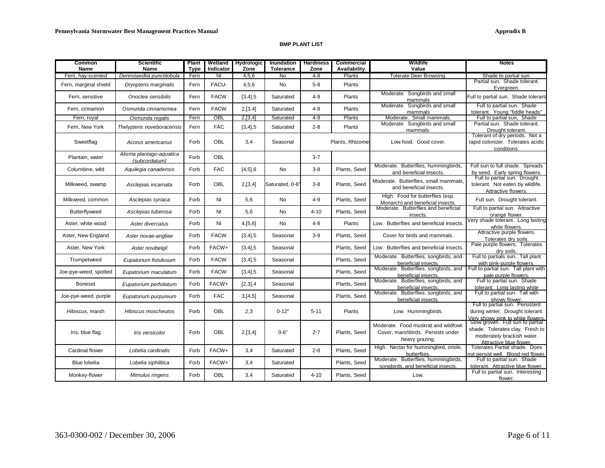#### **BMP PLANT LIST**

| Common<br>Name        | <b>Scientific</b><br>Name                 | <b>Plant</b><br><b>Type</b> | Wetland<br>Indicator    | <b>Hydrologic</b><br>Zone | Inundation<br><b>Tolerance</b> | <b>Hardiness</b><br>Zone | Commercial<br>Availability | Wildlife<br>Value                                                                           | <b>Notes</b>                                                                                                                 |
|-----------------------|-------------------------------------------|-----------------------------|-------------------------|---------------------------|--------------------------------|--------------------------|----------------------------|---------------------------------------------------------------------------------------------|------------------------------------------------------------------------------------------------------------------------------|
| Fern, hay-scented     | Dennstaedtia punctilobula                 | Fern                        | $\overline{\mathsf{N}}$ | 4,5,6                     | No                             | $4 - 8$                  | Plants                     | Tolerate Deer Browsing.                                                                     | Shade to partial sun.                                                                                                        |
| Fern, marginal shield | Dryopteris marginalis                     | Fern                        | FACU-                   | 4,5,6                     | <b>No</b>                      | $5 - 8$                  | Plants                     |                                                                                             | Partial sun. Shade tolerant.<br>Evergreen.                                                                                   |
| Fern, sensitive       | Onoclea sensibilis                        | Fern                        | <b>FACW</b>             | $[3, 4]$ , 5              | Saturated                      | $4 - 9$                  | Plants                     | Moderate. Songbirds and small<br>mammals                                                    | Full to partial sun. Shade tolerant                                                                                          |
| Fern. cinnamon        | Osmunda cinnamomea                        | Fern                        | <b>FACW</b>             | 2,[3,4]                   | Saturated                      | $4 - 8$                  | Plants                     | Moderate.<br>Songbirds and small<br>mammals                                                 | Full to partial sun. Shade<br>tolerant. Young "fiddle heads"                                                                 |
| Fern. roval           | Osmunda regalis                           | Fern                        | OBL                     | 2,[3,4]                   | Saturated                      | $4 - 9$                  | Plants                     | Moderate. Small mammals.                                                                    | Full to partial sun. Shade                                                                                                   |
| Fern, New York        | Thelypteris noveboracensis                | Fern                        | <b>FAC</b>              | $[3, 4]$ , 5              | Saturated                      | $2 - 8$                  | Plants                     | Moderate. Songbirds and small<br>mammals.                                                   | Partial sun. Shade tolerant.<br>Drought tolerant.                                                                            |
| Sweetflag             | Acorus americanus                         | Forb                        | <b>OBL</b>              | 3,4                       | Seasonal                       |                          | Plants, Rhizome:           | Low food. Good cover.                                                                       | Tolerant of dry periods. Not a<br>rapid colonizer. Tolerates acidic<br>conditions.                                           |
| Plantain, water       | Alisma plantago-aquatica<br>(subcordatum) | Forb                        | OBL                     |                           |                                | $3 - 7$                  |                            |                                                                                             |                                                                                                                              |
| Columbine, wild       | Aquilegia canadensis                      | Forb                        | <b>FAC</b>              | $[4,5]$ ,6                | <b>No</b>                      | $3 - 8$                  | Plants, Seed               | Moderate. Butterflies, hummingbirds,<br>and beneficial insects.                             | Full sun to full shade. Spreads<br>by seed. Early spring flowers.                                                            |
| Milkweed, swamp       | Asclepias incarnata                       | Forb                        | <b>OBL</b>              | 2,[3,4]                   | Saturated, 0-6'                | $3 - 8$                  | Plants, Seed               | Moderate. Butterflies, small mammals,<br>and beneficial insects.                            | Full to partial sun. Drought<br>tolerant. Not eaten by wildlife.<br>Attractive flowers.                                      |
| Milkweed, common      | Asclepias syriaca                         | Forb                        | N <sub>l</sub>          | 5,6                       | <b>No</b>                      | $4 - 9$                  | Plants, Seed               | High. Food for butterflies (esp.<br>Monarch) and beneficial insects.                        | Full sun. Drought tolerant.                                                                                                  |
| Butterflyweed         | Asclepias tuberosa                        | Forb                        | NI                      | 5,6                       | No                             | $4 - 10$                 | Plants, Seed               | Moderate. Butterflies and beneficial<br>insects.                                            | Full to partial sun. Attractive<br>orange flower.                                                                            |
| Aster, white wood     | Aster divercatus                          | Forb                        | NI                      | 4,[5,6]                   | No                             | $4 - 8$                  | Plants                     | Low. Butterflies and beneficial insects.                                                    | Very shade tolerant. Long lasting<br>white flowers.                                                                          |
| Aster, New England    | Aster novae-angliae                       | Forb                        | <b>FACW</b>             | $[3, 4]$ ,5               | Seasonal                       | $3 - 9$                  | Plants, Seed               | Cover for birds and mammals.                                                                | Attractive purple flowers.<br>Tolerates drv soils.                                                                           |
| Aster, New York       | Aster novibelgil                          | Forb                        | FACW+                   | [3,4], 5                  | Seasonal                       |                          | Plants, Seed               | Low. Butterflies and beneficial insects.                                                    | Pale purple flowers. Tolerates<br>drv soils.                                                                                 |
| Trumpetweed           | Eupatorium fistulosum                     | Forb                        | <b>FACW</b>             | $[3, 4]$ , 5              | Seasonal                       |                          | Plants, Seed               | Moderate. Butterflies, songbirds, and<br>beneficial insects.                                | Full to partials sun. Tall plant<br>with pink-purple flowers.                                                                |
| Joe-pye-weed, spotted | Eupatorium maculatum                      | Forb                        | <b>FACW</b>             | $[3, 4]$ , 5              | Seasonal                       |                          | Plants, Seed               | Moderate. Butterflies, songbirds, and<br>beneficial insects.                                | Full to partial sun. Tall plant with<br>pale purple flowers                                                                  |
| <b>Boneset</b>        | Eupatorium perfoliatum                    | Forb                        | FACW+                   | [2,3], 4                  | Seasonal                       |                          | Plants, Seed               | Moderate. Butterflies, songbirds, and<br>beneficial insects.                                | Full to partial sun. Shade<br>tolerant. Long lasting white                                                                   |
| Joe-pye-weed, purple  | Eupatorium purpureum                      | Forb                        | <b>FAC</b>              | 3,[4,5]                   | Seasonal                       |                          | Plants, Seed               | Moderate. Butterflies, songbirds, and<br>beneficial insects.                                | Full to partial sun. Tall with<br>showy flower                                                                               |
| Hibiscus, marsh       | Hibiscus moscheutos                       | Forb                        | OBL                     | 2,3                       | $0 - 12"$                      | $5 - 11$                 | Plants                     | Low. Hummingbirds.                                                                          | Full to partial sun. Persistent<br>during winter. Drought tolerant.<br>Very showy pink to white flowers.                     |
| Iris, blue flag       | Iris versicolor                           | Forb                        | <b>OBL</b>              | 2,[3,4]                   | $0 - 6"$                       | $2 - 7$                  | Plants, Seed               | Moderate. Food muskrat and wildfowl.<br>Cover, marshbirds. Persists under<br>heavy grazing. | Slow growth. Full sun to partial<br>shade. Tolerates clay. Fresh to<br>moderately brackish water.<br>Attractive blue flower. |
| Cardinal flower       | Lobelia cardinalis                        | Forb                        | FACW+                   | 3.4                       | Saturated                      | $2 - 8$                  | Plants, Seed               | High. Nectar for hummingbird, oriole,<br>butterflies.                                       | Tolerates Partial shade. Does<br>not persist well. Blood red flower.                                                         |
| Blue lobelia          | Lobelia siphilitica                       | Forb                        | FACW+                   | 3,4                       | Saturated                      |                          | Plants, Seed               | Moderate. Butterflies, hummingbirds,<br>songbirds, and beneficial insects.                  | Full to partial sun. Shade<br>tolerant. Attractive blue flower.                                                              |
| Monkey-flower         | Mimulus ringens                           | Forb                        | OBL                     | 3,4                       | Saturated                      | $4 - 10$                 | Plants, Seed               | Low.                                                                                        | Full to partial sun. Interesting<br>flower.                                                                                  |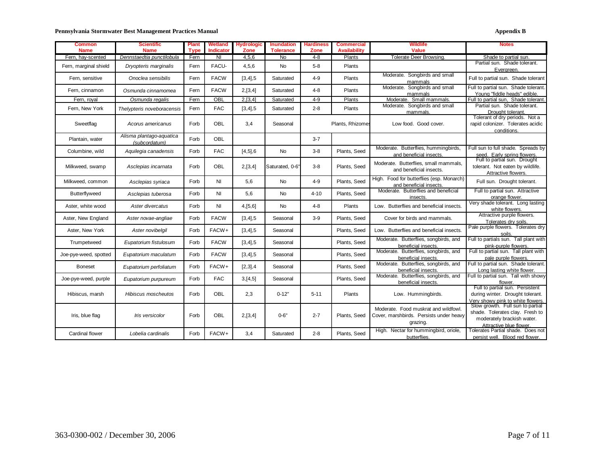#### Pennsylvania Stormwater Best Management Practices Manual **Appendix B** Appendix B

| Common<br><b>Name</b> | <b>Scientific</b><br><b>Name</b> | <b>Plant</b><br><b>Type</b> | Wetland<br><b>Indicator</b> | <b>Hydrologic</b><br>Zone | <b>Inundation</b><br><b>Tolerance</b> | Hardiness<br>Zone | <b>Commercial</b><br><b>Availability</b> | <b>Wildlife</b><br>Value                  | <b>Notes</b>                          |
|-----------------------|----------------------------------|-----------------------------|-----------------------------|---------------------------|---------------------------------------|-------------------|------------------------------------------|-------------------------------------------|---------------------------------------|
| Fern, hay-scented     | Dennstaedtia punctilobula        | Fern                        | NI                          | 4,5,6                     | No                                    | $4 - 8$           | Plants                                   | Tolerate Deer Browsing.                   | Shade to partial sun.                 |
|                       |                                  |                             |                             |                           |                                       |                   |                                          |                                           | Partial sun. Shade tolerant.          |
| Fern, marginal shield | Dryopteris marginalis            | Fern                        | FACU-                       | 4,5,6                     | <b>No</b>                             | $5 - 8$           | Plants                                   |                                           | Evergreen.                            |
|                       |                                  |                             |                             |                           |                                       |                   |                                          | Moderate. Songbirds and small             |                                       |
| Fern, sensitive       | Onoclea sensibilis               | Fern                        | <b>FACW</b>                 | $[3, 4]$ , 5              | Saturated                             | $4 - 9$           | Plants                                   | mammals                                   | Full to partial sun. Shade tolerant   |
|                       |                                  | Fern                        | <b>FACW</b>                 |                           | Saturated                             | $4 - 8$           | Plants                                   | Moderate. Songbirds and small             | Full to partial sun. Shade tolerant.  |
| Fern, cinnamon        | Osmunda cinnamomea               |                             |                             | 2,[3,4]                   |                                       |                   |                                          | mammals                                   | Young "fiddle heads" edible.          |
| Fern, royal           | Osmunda regalis                  | Fern                        | OBL                         | 2,[3,4]                   | Saturated                             | $4-9$             | Plants                                   | Moderate. Small mammals.                  | Full to partial sun, Shade tolerant.  |
| Fern, New York        | Thelypteris noveboracensis       | Fern                        | <b>FAC</b>                  | [3,4], 5                  | Saturated                             | $2 - 8$           | Plants                                   | Moderate. Songbirds and small             | Partial sun. Shade tolerant.          |
|                       |                                  |                             |                             |                           |                                       |                   |                                          | mammals.                                  | Drought tolerant.                     |
|                       |                                  |                             |                             |                           |                                       |                   |                                          |                                           | Tolerant of dry periods. Not a        |
| Sweetflag             | Acorus americanus                | Forb                        | <b>OBL</b>                  | 3,4                       | Seasonal                              |                   | Plants, Rhizomes                         | Low food. Good cover.                     | rapid colonizer. Tolerates acidic     |
|                       |                                  |                             |                             |                           |                                       |                   |                                          |                                           | conditions.                           |
|                       | Alisma plantago-aquatica         | Forb                        | OBL                         |                           |                                       | $3 - 7$           |                                          |                                           |                                       |
| Plantain, water       | (subcordatum)                    |                             |                             |                           |                                       |                   |                                          |                                           |                                       |
| Columbine, wild       | Aquilegia canadensis             | Forb                        | <b>FAC</b>                  |                           | No                                    | $3-8$             | Plants, Seed                             | Moderate. Butterflies, hummingbirds,      | Full sun to full shade. Spreads by    |
|                       |                                  |                             |                             | $[4,5]$ ,6                |                                       |                   |                                          | and beneficial insects.                   | seed. Early spring flowers.           |
|                       |                                  |                             |                             |                           |                                       |                   |                                          | Moderate. Butterflies, small mammals,     | Full to partial sun. Drought          |
| Milkweed, swamp       | Asclepias incarnata              | Forb                        | OBL                         | 2,[3,4]                   | Saturated, 0-6"                       | $3 - 8$           | Plants, Seed                             |                                           | tolerant. Not eaten by wildlife.      |
|                       |                                  |                             |                             |                           |                                       |                   |                                          | and beneficial insects.                   | Attractive flowers.                   |
|                       |                                  |                             |                             |                           |                                       |                   |                                          | High. Food for butterflies (esp. Monarch) |                                       |
| Milkweed, common      | Asclepias syriaca                | Forb                        | ΝI                          | 5,6                       | No                                    | $4 - 9$           | Plants, Seed                             | and beneficial insects.                   | Full sun. Drought tolerant.           |
|                       |                                  | Forb                        | ΝI                          | 5,6                       |                                       | $4 - 10$          | Plants, Seed                             | Moderate. Butterflies and beneficial      | Full to partial sun. Attractive       |
| <b>Butterflyweed</b>  | Asclepias tuberosa               |                             |                             |                           | No                                    |                   |                                          | insects.                                  | orange flower.                        |
| Aster, white wood     | Aster divercatus                 | Forb                        | ΝI                          | 4,[5,6]                   | No                                    | $4 - 8$           | Plants                                   | Low. Butterflies and beneficial insects.  | Very shade tolerant. Long lasting     |
|                       |                                  |                             |                             |                           |                                       |                   |                                          |                                           | white flowers.                        |
| Aster, New England    | Aster novae-angliae              | Forb                        | <b>FACW</b>                 | $[3, 4]$ , 5              | Seasonal                              | $3-9$             | Plants, Seed                             | Cover for birds and mammals.              | Attractive purple flowers.            |
|                       |                                  |                             |                             |                           |                                       |                   |                                          |                                           | Tolerates dry soils.                  |
| Aster, New York       | Aster novibelgil                 | Forb                        | FACW+                       | $[3, 4]$ , 5              | Seasonal                              |                   | Plants, Seed                             | Low. Butterflies and beneficial insects.  | Pale purple flowers. Tolerates dry    |
|                       |                                  |                             |                             |                           |                                       |                   |                                          |                                           | soils.                                |
| Trumpetweed           | Eupatorium fistulosum            | Forb                        | <b>FACW</b>                 | [3,4], 5                  | Seasonal                              |                   | Plants, Seed                             | Moderate. Butterflies, songbirds, and     | Full to partials sun. Tall plant with |
|                       |                                  |                             |                             |                           |                                       |                   |                                          | beneficial insects.                       | pink-purple flowers.                  |
| Joe-pye-weed, spotted | Eupatorium maculatum             | Forb                        | <b>FACW</b>                 | $[3, 4]$ , 5              | Seasonal                              |                   | Plants, Seed                             | Moderate. Butterflies, songbirds, and     | Full to partial sun. Tall plant with  |
|                       |                                  |                             |                             |                           |                                       |                   |                                          | beneficial insects.                       | pale purple flowers.                  |
| <b>Boneset</b>        | Eupatorium perfoliatum           | Forb                        | FACW+                       | [2,3], 4                  | Seasonal                              |                   | Plants, Seed                             | Moderate. Butterflies, songbirds, and     | Full to partial sun. Shade tolerant.  |
|                       |                                  |                             |                             |                           |                                       |                   |                                          | beneficial insects.                       | Long lasting white flower.            |
| Joe-pye-weed, purple  | Eupatorium purpureum             | Forb                        | <b>FAC</b>                  | 3,[4,5]                   | Seasonal                              |                   | Plants, Seed                             | Moderate. Butterflies, songbirds, and     | Full to partial sun. Tall with showy  |
|                       |                                  |                             |                             |                           |                                       |                   |                                          | beneficial insects.                       | flower.                               |
|                       |                                  |                             |                             |                           |                                       |                   |                                          |                                           | Full to partial sun. Persistent       |
| Hibiscus, marsh       | Hibiscus moscheutos              | Forb                        | OBL                         | 2,3                       | $0 - 12"$                             | $5 - 11$          | Plants                                   | Low. Hummingbirds.                        | during winter. Drought tolerant.      |
|                       |                                  |                             |                             |                           |                                       |                   |                                          |                                           | Very showy pink to white flowers.     |
|                       |                                  |                             |                             |                           |                                       |                   |                                          | Moderate. Food muskrat and wildfowl.      | Slow growth. Full sun to partial      |
| Iris, blue flag       | Iris versicolor                  | Forb                        | <b>OBL</b>                  | 2,[3,4]                   | $0 - 6"$                              | $2 - 7$           | Plants, Seed                             | Cover, marshbirds. Persists under heavy   | shade. Tolerates clay. Fresh to       |
|                       |                                  |                             |                             |                           |                                       |                   |                                          |                                           | moderately brackish water.            |
|                       |                                  |                             |                             |                           |                                       |                   |                                          | grazing.                                  | Attractive blue flower.               |
| Cardinal flower       | Lobelia cardinalis               | Forb                        | FACW+                       | 3,4                       | Saturated                             | $2 - 8$           | Plants, Seed                             | High. Nectar for hummingbird, oriole,     | Tolerates Partial shade. Does not     |
|                       |                                  |                             |                             |                           |                                       |                   |                                          | butterflies.                              | persist well. Blood red flower.       |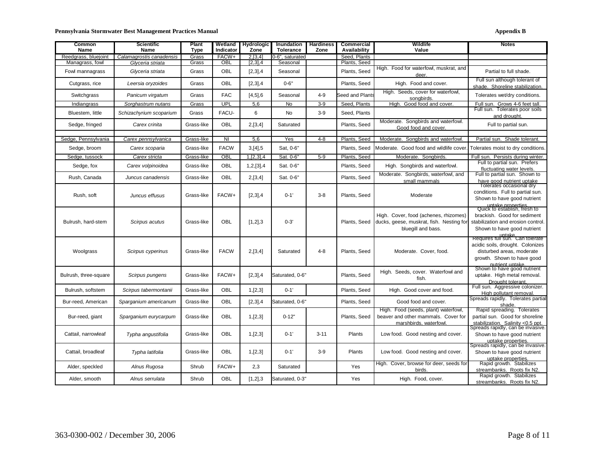#### Pennsylvania Stormwater Best Management Practices Manual **Appendix B** Appendix B

| <b>Common</b><br>Name | <b>Scientific</b><br>Name | Plant<br><b>Type</b> | Wetland<br>Indicator | <b>Hydrologic</b><br>Zone | Inundation<br><b>Tolerance</b> | <b>Hardiness</b><br>Zone | Commercial<br>Availability | Wildlife<br>Value                                                                                       | <b>Notes</b>                                                                                                                                                |
|-----------------------|---------------------------|----------------------|----------------------|---------------------------|--------------------------------|--------------------------|----------------------------|---------------------------------------------------------------------------------------------------------|-------------------------------------------------------------------------------------------------------------------------------------------------------------|
| Reedgrass, bluejoint  | Calamagrostis canadensis  | Grass                | FACW+                | 2.13.41                   | 0-6", saturated                |                          | Seed. Plants               |                                                                                                         |                                                                                                                                                             |
| Managrass, fowl       | Glyceria striata          | Grass                | <b>OBL</b>           | $[2,3]$ , 4               | Seasonal                       |                          | Plants, Seed               |                                                                                                         |                                                                                                                                                             |
| Fowl mannagrass       | Glyceria striata          | Grass                | OBL                  | $[2,3]$ , 4               | Seasonal                       |                          | Plants, Seed               | High. Food for waterfowl, muskrat, and<br>deer.                                                         | Partial to full shade.                                                                                                                                      |
| Cutgrass, rice        | Leersia oryzoides         | Grass                | OBL                  | [2,3], 4                  | $0 - 6"$                       |                          | Plants, Seed               | High. Food and cover.                                                                                   | Full sun although tolerant of<br>shade. Shoreline stabilization.                                                                                            |
| Switchgrass           | Panicum virgatum          | Grass                | <b>FAC</b>           | $[4,5]$ ,6                | Seasonal                       | 4-9                      | Seed and Plants            | High. Seeds, cover for waterfowl,<br>sonabirds                                                          | Tolerates wet/dry conditions.                                                                                                                               |
| Indiangrass           | Sorghastrum nutans        | Grass                | UPL                  | 5,6                       | No                             | $3-9$                    | Seed, Plants               | High. Good food and cover.                                                                              | Full sun. Grows 4-6 feet tall.                                                                                                                              |
| Bluestem, little      | Schizachyrium scoparium   | Grass                | FACU-                | 6                         | <b>No</b>                      | $3-9$                    | Seed, Plants               |                                                                                                         | Full sun. Tolerates poor soils<br>and drought.                                                                                                              |
| Sedge, fringed        | Carex crinita             | Grass-like           | OBL                  | 2,[3,4]                   | Saturated                      |                          | Plants, Seed               | Moderate. Songbirds and waterfowl.<br>Good food and cover.                                              | Full to partial sun.                                                                                                                                        |
| Sedge, Pennsylvania   | Carex pennsylvanica       | Grass-like           | <b>NI</b>            | 5,6                       | Yes                            | $4 - 8$                  | Plants, Seed               | Moderate. Songbirds and waterfowl.                                                                      | Partial sun. Shade tolerant                                                                                                                                 |
| Sedge, broom          | Carex scoparia            | Grass-like           | <b>FACW</b>          | 3,[4],5                   | Sat, 0-6"                      |                          | Plants, Seed               | Moderate. Good food and wildlife cover                                                                  | Tolerates moist to dry conditions                                                                                                                           |
| Sedge, tussock        | Carex stricta             | Grass-like           | OBL                  | 1, [2,3], 4               | Sat. 0-6"                      | $5-9$                    | Plants, Seed               | Moderate. Songbirds                                                                                     | Full sun. Persists during winter.                                                                                                                           |
| Sedge, fox            | Carex volpinoidea         | Grass-like           | OBL                  | 1, 2, [3], 4              | Sat. 0-6"                      |                          | Plants, Seed               | High. Songbirds and waterfowl.                                                                          | Full to partial sun. Prefers<br>fluctuating water levels.                                                                                                   |
| Rush, Canada          | Juncus canadensis         | Grass-like           | OBL                  | 2,[3,4]                   | Sat. 0-6"                      |                          | Plants, Seed               | Moderate. Songbirds, waterfowl, and<br>small mammals                                                    | Full to partial sun. Shown to<br>have good nutrient uptake<br>Tolerates occasional dry                                                                      |
| Rush, soft            | Juncus effusus            | Grass-like           | FACW+                | [2,3], 4                  | $0 - 1'$                       | $3-8$                    | Plants, Seed               | Moderate                                                                                                | conditions. Full to partial sun.<br>Shown to have good nutrient<br>untake properties                                                                        |
| Bulrush, hard-stem    | Scirpus acutus            | Grass-like           | OBL                  | [1,2],3                   | $0 - 3'$                       |                          | Plants, Seed               | High. Cover, food (achenes, rhizomes)<br>ducks, geese, muskrat, fish. Nesting for<br>bluegill and bass. | Quick to establish, fresh to<br>brackish. Good for sediment<br>stabilization and erosion control.<br>Shown to have good nutrient                            |
| Woolgrass             | Scirpus cyperinus         | Grass-like           | <b>FACW</b>          | 2,[3,4]                   | Saturated                      | $4 - 8$                  | Plants, Seed               | Moderate. Cover. food.                                                                                  | uptake<br>Requires full sun. Can tolerate<br>acidic soils, drought. Colonizes<br>disturbed areas, moderate<br>growth. Shown to have good<br>nutrient untake |
| Bulrush, three-square | Scirpus pungens           | Grass-like           | FACW+                | [2,3], 4                  | Saturated, 0-6"                |                          | Plants, Seed               | High. Seeds, cover. Waterfowl and<br>fish.                                                              | Shown to have good nutrient<br>uptake. High metal removal.<br>Drought tolerant                                                                              |
| Bulrush, softstem     | Scirpus tabermontanii     | Grass-like           | OBL                  | 1, [2,3]                  | $0 - 1'$                       |                          | Plants, Seed               | High. Good cover and food.                                                                              | Full sun. Aggressive colonizer.<br>High pollutant removal.                                                                                                  |
| Bur-reed, American    | Sparganium americanum     | Grass-like           | OBL                  | [2,3], 4                  | Saturated, 0-6"                |                          | Plants, Seed               | Good food and cover.                                                                                    | Spreads rapidly. Tolerates partial<br>shade.                                                                                                                |
| Bur-reed, giant       | Sparganium eurycarpum     | Grass-like           | OBL                  | 1, [2,3]                  | $0 - 12"$                      |                          | Plants, Seed               | High. Food (seeds, plant) waterfowl,<br>beaver and other mammals. Cover for<br>marshbirds, waterfowl.   | Rapid spreading. Tolerates<br>partial sun. Good for shoreline<br>stabilization. Salinity <0.5 ppt.                                                          |
| Cattail, narrowleaf   | Typha angustifolia        | Grass-like           | <b>OBL</b>           | 1, [2,3]                  | $0 - 1'$                       | $3 - 11$                 | Plants                     | Low food. Good nesting and cover.                                                                       | Spreads rapidly, can be invasive.<br>Shown to have good nutrient<br>uptake properties.                                                                      |
| Cattail, broadleaf    | Typha latifolia           | Grass-like           | OBL                  | 1, [2,3]                  | $0 - 1'$                       | $3-9$                    | Plants                     | Low food. Good nesting and cover.                                                                       | Spreads rapidly, can be invasive.<br>Shown to have good nutrient<br>uptake properties.                                                                      |
| Alder, speckled       | Alnus Rugosa              | Shrub                | FACW+                | 2,3                       | Saturated                      |                          | Yes                        | High. Cover, browse for deer, seeds for<br>birds                                                        | Rapid growth. Stabilizes<br>streambanks. Roots fix N2                                                                                                       |
| Alder, smooth         | Alnus serrulata           | Shrub                | OBL                  | [1,2],3                   | Saturated, 0-3"                |                          | Yes                        | High. Food, cover.                                                                                      | Rapid growth. Stabilizes<br>streambanks. Roots fix N2.                                                                                                      |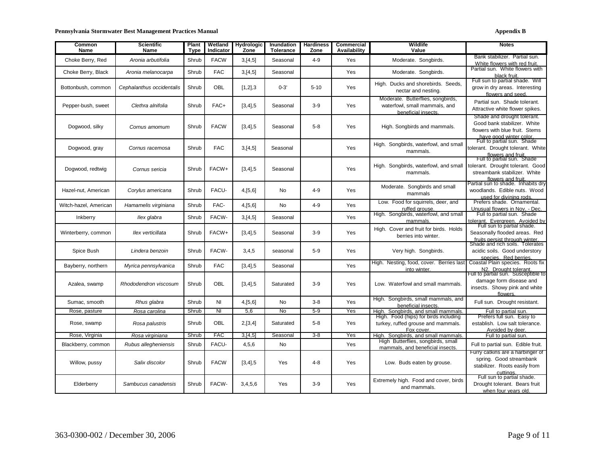| Common<br>Name        | Scientific<br>Name        | Plant<br>Type | Wetland<br>Indicator    | <b>Hydrologic</b><br>Zone | <b>Inundation</b><br><b>Tolerance</b> | <b>Hardiness</b><br>Zone | Commercial<br>Availability | Wildlife<br>Value                                                                        | <b>Notes</b>                                                                                                            |
|-----------------------|---------------------------|---------------|-------------------------|---------------------------|---------------------------------------|--------------------------|----------------------------|------------------------------------------------------------------------------------------|-------------------------------------------------------------------------------------------------------------------------|
| Choke Berry, Red      | Aronia arbutifolia        | Shrub         | <b>FACW</b>             | 3,[4,5]                   | Seasonal                              | $4 - 9$                  | Yes                        | Moderate. Songbirds.                                                                     | Bank stabilizer. Partial sun.<br>White flowers with red fruit.                                                          |
| Choke Berry, Black    | Aronia melanocarpa        | Shrub         | <b>FAC</b>              | 3,[4,5]                   | Seasonal                              |                          | Yes                        | Moderate. Songbirds.                                                                     | Partial sun. White flowers with<br>black fruit.                                                                         |
| Bottonbush, common    | Cephalanthus occidentalis | Shrub         | OBL                     | [1,2],3                   | $0 - 3'$                              | $5 - 10$                 | Yes                        | High. Ducks and shorebirds. Seeds.<br>nectar and nesting.                                | Full sun to partial shade. Will<br>grow in dry areas. Interesting<br>flowers and seed.                                  |
| Pepper-bush, sweet    | Clethra alnifolia         | Shrub         | FAC+                    | $[3, 4]$ , 5              | Seasonal                              | $3-9$                    | Yes                        | Moderate. Butterflies, songbirds,<br>waterfowl, small mammals, and<br>beneficial insects | Partial sun. Shade tolerant.<br>Attractive white flower spikes.                                                         |
| Dogwood, silky        | Cornus amomum             | Shrub         | <b>FACW</b>             | $[3, 4]$ , 5              | Seasonal                              | $5 - 8$                  | Yes                        | High. Songbirds and mammals.                                                             | Shade and drought tolerant.<br>Good bank stabilizer. White<br>flowers with blue fruit. Stems<br>have good winter color. |
| Dogwood, gray         | Cornus racemosa           | Shrub         | <b>FAC</b>              | 3,[4,5]                   | Seasonal                              |                          | <b>Yes</b>                 | High. Songbirds, waterfowl, and small<br>mammals.                                        | Full to partial sun. Shade<br>tolerant. Drought tolerant. White<br>flowers and fruit.<br>Full to partial sun. Shade     |
| Dogwood, redtwig      | Cornus sericia            | Shrub         | FACW+                   | $[3, 4]$ ,5               | Seasonal                              |                          | Yes                        | High. Songbirds, waterfowl, and small<br>mammals.                                        | tolerant. Drought tolerant. Good<br>streambank stabilizer. White<br>flowers and fruit                                   |
| Hazel-nut, American   | Corylus americana         | Shrub         | FACU-                   | 4,[5,6]                   | No.                                   | $4 - 9$                  | Yes                        | Moderate. Songbirds and small<br>mammals                                                 | Partial sun to shade. Inhabits dry<br>woodlands. Edible nuts. Wood<br>used for divining rods.                           |
| Witch-hazel, American | Hamamelis virginiana      | Shrub         | FAC-                    | 4,[5,6]                   | No                                    | $4 - 9$                  | Yes                        | Low. Food for squirrels, deer, and<br>ruffed grouse.                                     | Prefers shade. Ornamental.<br>Unusual flowers in Nov. - Dec.                                                            |
| Inkberry              | llex glabra               | Shrub         | FACW-                   | 3,[4,5]                   | Seasonal                              |                          | Yes                        | High. Songbirds, waterfowl, and small<br>mammals.                                        | Full to partial sun. Shade<br>tolerant. Evergreen. Avoided by                                                           |
| Winterberry, common   | llex verticillata         | Shrub         | FACW+                   | $[3, 4]$ ,5               | Seasonal                              | $3-9$                    | Yes                        | High. Cover and fruit for birds. Holds<br>berries into winter.                           | Full sun to partial shade.<br>Seasonally flooded areas. Red<br>fruits persist through winter                            |
| Spice Bush            | Lindera benzoin           | Shrub         | FACW-                   | 3,4,5                     | seasonal                              | $5-9$                    | <b>Yes</b>                 | Very high. Songbirds.                                                                    | Shade and rich soils. Tolerates<br>acidic soils. Good understory<br>species. Red berries                                |
| Bayberry, northern    | Myrica pennsylvanica      | Shrub         | <b>FAC</b>              | $[3, 4]$ ,5               | Seasonal                              |                          | Yes                        | High. Nesting, food, cover. Berries last<br>into winter.                                 | Coastal Plain species. Roots fix<br>N2. Drought tolerant.                                                               |
| Azalea, swamp         | Rhododendron viscosum     | Shrub         | <b>OBL</b>              | $[3, 4]$ , 5              | Saturated                             | $3-9$                    | Yes                        | Low. Waterfowl and small mammals.                                                        | Full to partial sun. Susceptible to<br>damage form disease and<br>insects. Showy pink and white<br>flowers.             |
| Sumac, smooth         | Rhus glabra               | Shrub         | <b>NI</b>               | 4,[5,6]                   | No                                    | $3 - 8$                  | Yes                        | High. Songbirds, small mammals, and<br>beneficial insects.                               | Full sun. Drought resistant.                                                                                            |
| Rose, pasture         | Rosa carolina             | Shrub         | $\overline{\mathsf{N}}$ | 5,6                       | No                                    | $5-9$                    | Yes                        | High. Songbirds, and small mammals<br>High. Food (hips) for birds including              | Full to partial sun.<br>Prefers full sun. Easy to                                                                       |
| Rose, swamp           | Rosa palustris            | Shrub         | <b>OBL</b>              | 2,[3,4]                   | Saturated                             | $5 - 8$                  | Yes                        | turkey, ruffed grouse and mammals.<br>Fox cover.                                         | establish. Low salt tolerance.<br>Avoided by deer.                                                                      |
| Rose, Virginia        | Rosa virginiana           | Shrub         | <b>FAC</b>              | 3.14.5                    | Seasonal                              | $3 - 8$                  | Yes                        | High. Songbirds, and small mammals                                                       | Full to partial sun.                                                                                                    |
| Blackberry, common    | Rubus allegheniensis      | Shrub         | FACU-                   | 4,5,6                     | No                                    |                          | Yes                        | High Butterflies, songbirds, small<br>mammals, and beneficial insects.                   | Full to partial sun. Edible fruit.                                                                                      |
| Willow, pussy         | Salix discolor            | Shrub         | <b>FACW</b>             | $[3, 4]$ , 5              | Yes                                   | $4 - 8$                  | Yes                        | Low. Buds eaten by grouse.                                                               | Furry catkins are a harbinger of<br>spring. Good streambank<br>stabilizer. Roots easily from<br>cuttinas                |
| Elderberry            | Sambucus canadensis       | Shrub         | FACW-                   | 3,4,5,6                   | Yes                                   | $3-9$                    | Yes                        | Extremely high. Food and cover, birds<br>and mammals.                                    | Full sun to partial shade.<br>Drought tolerant. Bears fruit<br>when four years old                                      |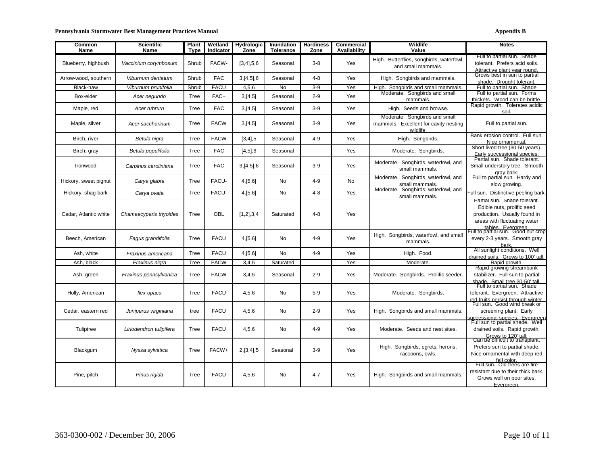#### Pennsylvania Stormwater Best Management Practices Manual **Appendix B** Appendix B

| Common<br>Name        | <b>Scientific</b><br><b>Name</b> | Plant<br><b>Type</b> | Wetland<br>Indicator | <b>Hydrologic</b><br>Zone | Inundation<br><b>Tolerance</b> | <b>Hardiness</b><br>Zone | Commercial<br>Availability | Wildlife<br>Value                                                                   | <b>Notes</b>                                                                                                               |
|-----------------------|----------------------------------|----------------------|----------------------|---------------------------|--------------------------------|--------------------------|----------------------------|-------------------------------------------------------------------------------------|----------------------------------------------------------------------------------------------------------------------------|
| Blueberry, highbush   | Vaccinium corymbosum             | Shrub                | FACW-                | $[3,4]$ , 5, 6            | Seasonal                       | $3 - 8$                  | Yes                        | High. Butterflies, songbirds, waterfowl,<br>and small mammals.                      | Full to partial sun. Shade<br>tolerant. Prefers acid soils.<br>Attractive plant vear round.                                |
| Arrow-wood, southern  | Viburnum dentatum                | Shrub                | <b>FAC</b>           | 3,[4,5],6                 | Seasonal                       | $4 - 8$                  | Yes                        | High. Songbirds and mammals.                                                        | Grows best in sun to partial<br>shade. Drought tolerant                                                                    |
| Black-haw             | Viburnum prunifolia              | Shrub                | <b>FACU</b>          | 4,5,6                     | No                             | $3-9$                    | Yes                        | High. Songbirds and small mammals.                                                  | Full to partial sun. Shade                                                                                                 |
| Box-elder             | Acer negundo                     | Tree                 | FAC+                 | 3,[4,5]                   | Seasonal                       | $2 - 9$                  | Yes                        | Moderate. Songbirds and small<br>mammals.                                           | Full to partial sun. Forms<br>thickets. Wood can be brittle.                                                               |
| Maple, red            | Acer rubrum                      | Tree                 | <b>FAC</b>           | 3,[4,5]                   | Seasonal                       | $3 - 9$                  | Yes                        | High. Seeds and browse.                                                             | Rapid growth. Tolerates acidic<br>soil.                                                                                    |
| Maple, silver         | Acer saccharinum                 | Tree                 | <b>FACW</b>          | 3,[4,5]                   | Seasonal                       | $3-9$                    | Yes                        | Moderate. Songbirds and small<br>mammals. Excellent for cavity nesting<br>wildlife. | Full to partial sun.                                                                                                       |
| Birch, river          | Betula nigra                     | Tree                 | <b>FACW</b>          | $[3, 4]$ ,5               | Seasonal                       | $4 - 9$                  | Yes                        | High. Songbirds.                                                                    | Bank erosion control. Full sun.<br>Nice ornamental                                                                         |
| Birch, gray           | Betula populifolia               | Tree                 | <b>FAC</b>           | $[4,5]$ ,6                | Seasonal                       |                          | Yes                        | Moderate. Songbirds.                                                                | Short lived tree (30-50 years).<br>Early successional species.                                                             |
| Ironwood              | Carpinus caroliniana             | Tree                 | <b>FAC</b>           | 3,[4,5],6                 | Seasonal                       | $3-9$                    | Yes                        | Moderate. Songbirds, waterfowl, and<br>small mammals.                               | Partial sun. Shade tolerant.<br>Small understory tree. Smooth<br>gray bark.                                                |
| Hickory, sweet pignut | Carya glabra                     | Tree                 | FACU-                | 4,[5,6]                   | No                             | $4 - 9$                  | No                         | Moderate. Songbirds, waterfowl, and<br>small mammals.                               | Full to partial sun. Hardy and<br>slow growing.                                                                            |
| Hickory, shag-bark    | Carya ovata                      | Tree                 | FACU-                | 4,[5,6]                   | No                             | $4 - 8$                  | Yes                        | Moderate. Songbirds, waterfowl, and<br>small mammals.                               | Full sun. Distinctive peeling bark.                                                                                        |
| Cedar, Atlantic white | Chamaecyparis thyoides           | Tree                 | OBL                  | [1,2],3,4                 | Saturated                      | $4 - 8$                  | Yes                        |                                                                                     | Partial sun. Shade tolerant.<br>Edible nuts, prolific seed<br>production. Usually found in<br>areas with fluctuating water |
| Beech, American       | Fagus grandifolia                | Tree                 | <b>FACU</b>          | 4,[5,6]                   | No                             | $4 - 9$                  | Yes                        | High. Songbirds, waterfowl, and small<br>mammals.                                   | tables Evergreen<br>Full to partial sun. Good nut crop<br>every 2-3 years. Smooth gray<br>bark.                            |
| Ash, white            | Fraxinus americana               | Tree                 | <b>FACU</b>          | 4,[5,6]                   | No                             | $4 - 9$                  | Yes                        | High. Food.                                                                         | All sunlight conditions. Well<br>drained soils. Grows to 100' tall.                                                        |
| Ash, black            | Fraxinus nigra                   | Tree                 | <b>FACW</b>          | 3,4,5                     | Saturated                      |                          | Yes                        | Moderate.                                                                           | Rapid growth.                                                                                                              |
| Ash, green            | Fraxinus pennsylvanica           | Tree                 | <b>FACW</b>          | 3,4,5                     | Seasonal                       | $2 - 9$                  | Yes                        | Moderate. Songbirds. Prolific seeder.                                               | Rapid growing streambank<br>stabilizer. Full sun to partial<br>shade. Small tree 30-50' tall                               |
| Holly, American       | llex opaca                       | Tree                 | <b>FACU</b>          | 4,5,6                     | No                             | $5-9$                    | Yes                        | Moderate. Songbirds.                                                                | Full to partial sun. Shade<br>tolerant. Evergreen. Attractive<br>red fruits persist through winter.                        |
| Cedar, eastern red    | Juniperus virginiana             | tree                 | <b>FACU</b>          | 4,5,6                     | No                             | $2 - 9$                  | Yes                        | High. Songbirds and small mammals.                                                  | Full sun. Good wind break or<br>screening plant. Early<br>successional species. Evergreen                                  |
| Tuliptree             | Liriodendron tulipifera          | Tree                 | <b>FACU</b>          | 4,5,6                     | No                             | $4 - 9$                  | Yes                        | Moderate. Seeds and nest sites.                                                     | Full sun to partial shade. Well<br>drained soils. Rapid growth.<br>Grows to 120' tall                                      |
| Blackgum              | Nyssa sylvatica                  | Tree                 | FACW+                | 2,[3,4],5                 | Seasonal                       | $3-9$                    | Yes                        | High. Songbirds, egrets, herons,<br>raccoons, owls.                                 | Can be difficult to transplant.<br>Prefers sun to partial shade.<br>Nice ornamental with deep red<br>fall color.           |
| Pine, pitch           | Pinus rigida                     | Tree                 | <b>FACU</b>          | 4,5,6                     | <b>No</b>                      | $4 - 7$                  | Yes                        | High. Songbirds and small mammals.                                                  | Full sun. Old trees are fire<br>resistant due to their thick bark.<br>Grows well on poor sites.<br>Everareen.              |